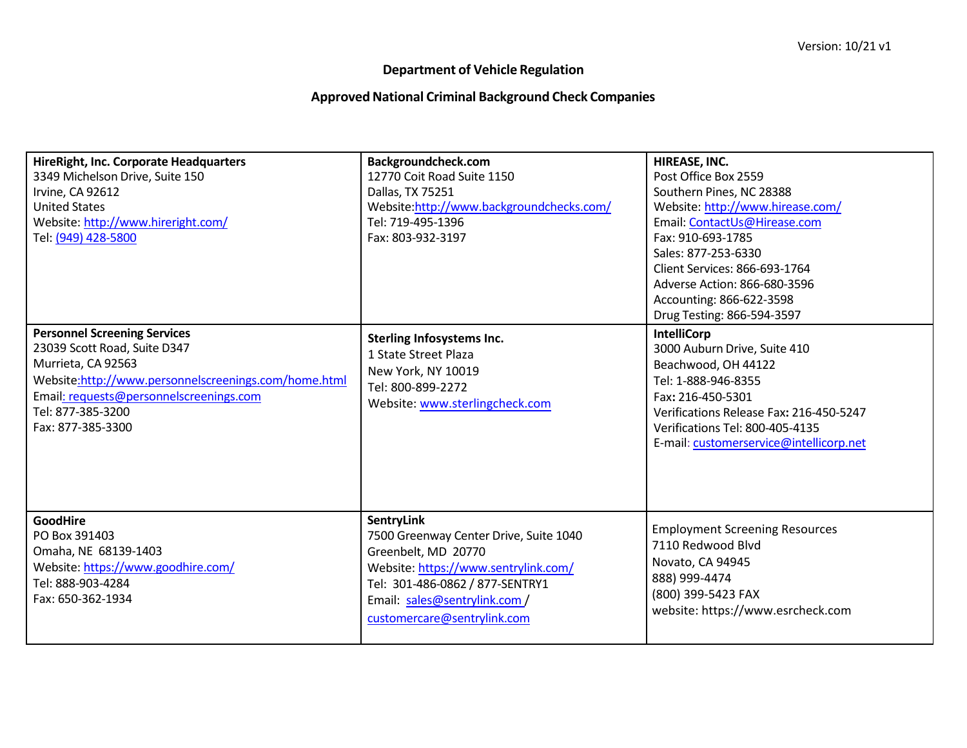## **Department of Vehicle Regulation**

## **ApprovedNational Criminal Background Check Companies**

| HireRight, Inc. Corporate Headquarters<br>3349 Michelson Drive, Suite 150<br>Irvine, CA 92612<br><b>United States</b><br>Website: http://www.hireright.com/<br>Tel: (949) 428-5800                                                     | Backgroundcheck.com<br>12770 Coit Road Suite 1150<br>Dallas, TX 75251<br>Website:http://www.backgroundchecks.com/<br>Tel: 719-495-1396<br>Fax: 803-932-3197                                                                   | HIREASE, INC.<br>Post Office Box 2559<br>Southern Pines, NC 28388<br>Website: http://www.hirease.com/<br>Email: ContactUs@Hirease.com<br>Fax: 910-693-1785<br>Sales: 877-253-6330                                                              |
|----------------------------------------------------------------------------------------------------------------------------------------------------------------------------------------------------------------------------------------|-------------------------------------------------------------------------------------------------------------------------------------------------------------------------------------------------------------------------------|------------------------------------------------------------------------------------------------------------------------------------------------------------------------------------------------------------------------------------------------|
|                                                                                                                                                                                                                                        |                                                                                                                                                                                                                               | Client Services: 866-693-1764<br>Adverse Action: 866-680-3596<br>Accounting: 866-622-3598<br>Drug Testing: 866-594-3597                                                                                                                        |
| <b>Personnel Screening Services</b><br>23039 Scott Road, Suite D347<br>Murrieta, CA 92563<br>Website:http://www.personnelscreenings.com/home.html<br>Email: requests@personnelscreenings.com<br>Tel: 877-385-3200<br>Fax: 877-385-3300 | <b>Sterling Infosystems Inc.</b><br>1 State Street Plaza<br>New York, NY 10019<br>Tel: 800-899-2272<br>Website: www.sterlingcheck.com                                                                                         | <b>IntelliCorp</b><br>3000 Auburn Drive, Suite 410<br>Beachwood, OH 44122<br>Tel: 1-888-946-8355<br>Fax: 216-450-5301<br>Verifications Release Fax: 216-450-5247<br>Verifications Tel: 800-405-4135<br>E-mail: customerservice@intellicorp.net |
| <b>GoodHire</b><br>PO Box 391403<br>Omaha, NE 68139-1403<br>Website: https://www.goodhire.com/<br>Tel: 888-903-4284<br>Fax: 650-362-1934                                                                                               | <b>SentryLink</b><br>7500 Greenway Center Drive, Suite 1040<br>Greenbelt, MD 20770<br>Website: https://www.sentrylink.com/<br>Tel: 301-486-0862 / 877-SENTRY1<br>Email: sales@sentrylink.com /<br>customercare@sentrylink.com | <b>Employment Screening Resources</b><br>7110 Redwood Blvd<br>Novato, CA 94945<br>888) 999-4474<br>(800) 399-5423 FAX<br>website: https://www.esrcheck.com                                                                                     |